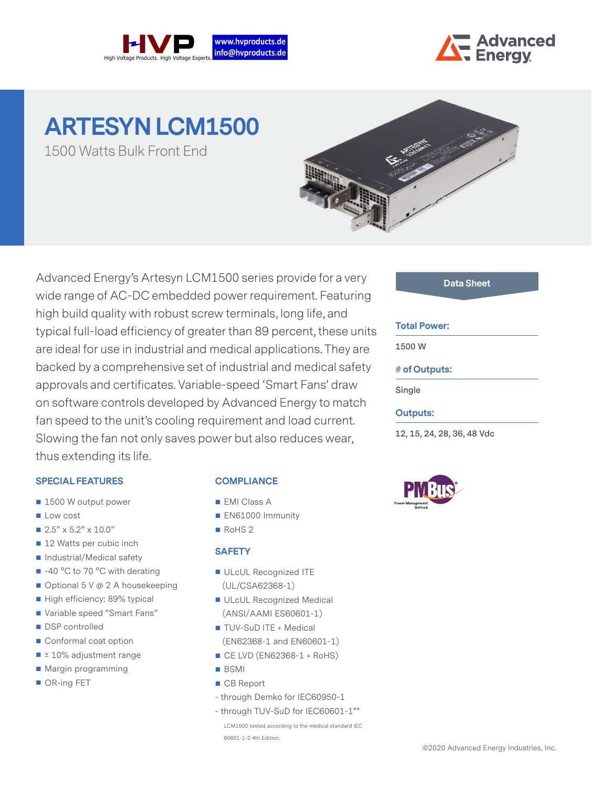



# **ARTESYN LCM1500** 1500 Watts Bulk Front End

Advanced Energy's Artesyn LCM1500 series provide for a very wide range of AC-DC embedded power requirement. Featuring high build quality with robust screw terminals, long life, and typical full-load efficiency of greater than 89 percent, these units are ideal for use in industrial and medical applications. They are backed by a comprehensive set of industrial and medical safety approvals and certificates. Variable-speed 'Smart Fans' draw on software controls developed by Advanced Energy to match fan speed to the unit's cooling requirement and load current. Slowing the fan not only saves power but also reduces wear, thus extending its life.

## **SPECIAL FEATURES**

- 1500 W output power
- **Low cost**
- $2.5" \times 5.2" \times 10.0"$
- 12 Watts per cubic inch
- Industrial/Medical safety
- $\blacksquare$  -40 °C to 70 °C with derating
- Optional 5 V @ 2 A housekeeping
- High efficiency: 89% typical
- Variable speed "Smart Fans"
- DSP controlled
- Conformal coat option
- $\blacksquare$  ± 10% adjustment range
- **Margin programming**
- OR-ing FET

## **COMPLIANCE**

- **EMI Class A**
- EN61000 Immunity
- RoHS<sub>2</sub>

#### **SAFETY**

- ULcUL Recognized ITE (UL/CSA62368-1)
- ULcUL Recognized Medical (ANSI/AAMI ES60601-1)
- TUV-SuD ITE + Medical
- (EN62368-1 and EN60601-1)
- $\blacksquare$  CE LVD (EN62368-1 + RoHS)
- BSMI
- CB Report
- through Demko for IEC60950-1
- through TUV-SuD for IEC60601-1\*\*

LCM1500 tested according to the medical standard IEC 60601-1-2 4th Edition.

#### **Data Sheet**

#### **Total Power:**

**1500 W**

#### **# of Outputs:**

**Single**

#### **Outputs:**

**12, 15, 24, 28, 36, 48 Vdc**

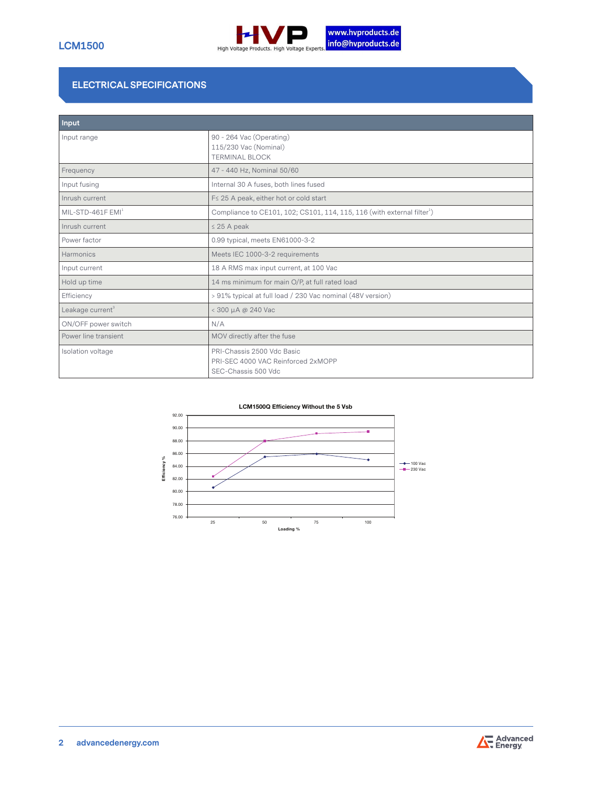

# **ELECTRICAL SPECIFICATIONS**

| Input                         |                                                                                         |  |  |  |  |  |
|-------------------------------|-----------------------------------------------------------------------------------------|--|--|--|--|--|
| Input range                   | 90 - 264 Vac (Operating)<br>115/230 Vac (Nominal)<br><b>TERMINAL BLOCK</b>              |  |  |  |  |  |
| Frequency                     | 47 - 440 Hz, Nominal 50/60                                                              |  |  |  |  |  |
| Input fusing                  | Internal 30 A fuses, both lines fused                                                   |  |  |  |  |  |
| Inrush current                | F≤ 25 A peak, either hot or cold start                                                  |  |  |  |  |  |
| MIL-STD-461F EMI <sup>1</sup> | Compliance to CE101, 102; CS101, 114, 115, 116 (with external filter <sup>1</sup> )     |  |  |  |  |  |
| Inrush current                | $\leq$ 25 A peak                                                                        |  |  |  |  |  |
| Power factor                  | 0.99 typical, meets EN61000-3-2                                                         |  |  |  |  |  |
| Harmonics                     | Meets IEC 1000-3-2 requirements                                                         |  |  |  |  |  |
| Input current                 | 18 A RMS max input current, at 100 Vac                                                  |  |  |  |  |  |
| Hold up time                  | 14 ms minimum for main O/P, at full rated load                                          |  |  |  |  |  |
| Efficiency                    | > 91% typical at full load / 230 Vac nominal (48V version)                              |  |  |  |  |  |
| Leakage current <sup>3</sup>  | < 300 µA @ 240 Vac                                                                      |  |  |  |  |  |
| ON/OFF power switch           | N/A                                                                                     |  |  |  |  |  |
| Power line transient          | MOV directly after the fuse                                                             |  |  |  |  |  |
| Isolation voltage             | PRI-Chassis 2500 Vdc Basic<br>PRI-SEC 4000 VAC Reinforced 2xMOPP<br>SEC-Chassis 500 Vdc |  |  |  |  |  |



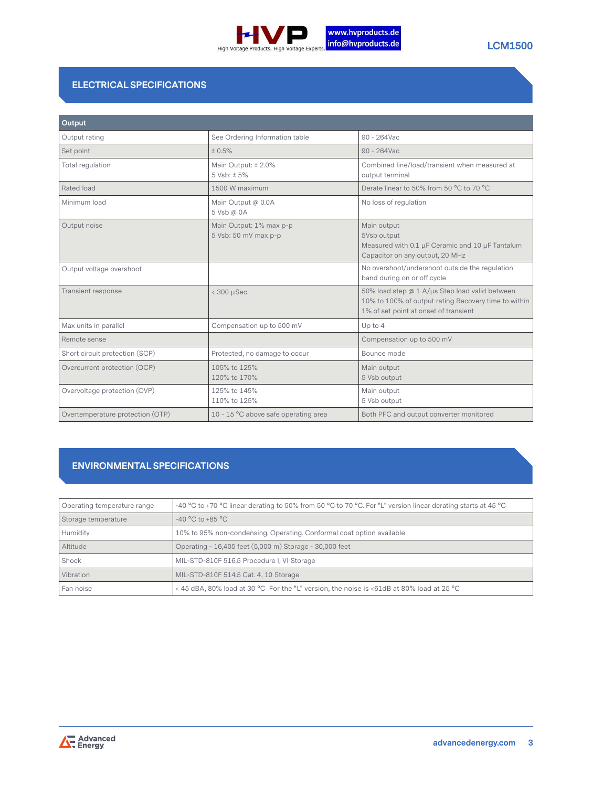

# **ELECTRICAL SPECIFICATIONS**

| Output                           |                                                 |                                                                                                                                                 |  |  |  |
|----------------------------------|-------------------------------------------------|-------------------------------------------------------------------------------------------------------------------------------------------------|--|--|--|
| Output rating                    | See Ordering Information table                  | 90 - 264Vac                                                                                                                                     |  |  |  |
| Set point                        | ± 0.5%                                          | 90 - 264Vac                                                                                                                                     |  |  |  |
| Total regulation                 | Main Output: ± 2.0%<br>5 Vsb: ± 5%              | Combined line/load/transient when measured at<br>output terminal                                                                                |  |  |  |
| Rated load                       | 1500 W maximum                                  | Derate linear to 50% from 50 °C to 70 °C                                                                                                        |  |  |  |
| Minimum load                     | Main Output @ 0.0A<br>5 Vsb @ 0A                | No loss of regulation                                                                                                                           |  |  |  |
| Output noise                     | Main Output: 1% max p-p<br>5 Vsb: 50 mV max p-p | Main output<br>5Vsb output<br>Measured with 0.1 µF Ceramic and 10 µF Tantalum<br>Capacitor on any output, 20 MHz                                |  |  |  |
| Output voltage overshoot         |                                                 | No overshoot/undershoot outside the regulation<br>band during on or off cycle                                                                   |  |  |  |
| Transient response               | $<$ 300 $\mu$ Sec                               | 50% load step @ 1 A/µs Step load valid between<br>10% to 100% of output rating Recovery time to within<br>1% of set point at onset of transient |  |  |  |
| Max units in parallel            | Compensation up to 500 mV                       | Up to 4                                                                                                                                         |  |  |  |
| Remote sense                     |                                                 | Compensation up to 500 mV                                                                                                                       |  |  |  |
| Short circuit protection (SCP)   | Protected, no damage to occur                   | Bounce mode                                                                                                                                     |  |  |  |
| Overcurrent protection (OCP)     | 105% to 125%<br>120% to 170%                    | Main output<br>5 Vsb output                                                                                                                     |  |  |  |
| Overvoltage protection (OVP)     | 125% to 145%<br>110% to 125%                    | Main output<br>5 Vsb output                                                                                                                     |  |  |  |
| Overtemperature protection (OTP) | 10 - 15 °C above safe operating area            | Both PFC and output converter monitored                                                                                                         |  |  |  |

# **ENVIRONMENTAL SPECIFICATIONS**

| Operating temperature range | -40 °C to +70 °C linear derating to 50% from 50 °C to 70 °C. For "L" version linear derating starts at 45 °C |
|-----------------------------|--------------------------------------------------------------------------------------------------------------|
| Storage temperature         | $-40 °C$ to $+85 °C$                                                                                         |
| Humidity                    | 10% to 95% non-condensing. Operating. Conformal coat option available                                        |
| Altitude                    | Operating - 16,405 feet (5,000 m) Storage - 30,000 feet                                                      |
| Shock                       | MIL-STD-810F 516.5 Procedure I, VI Storage                                                                   |
| Vibration                   | MIL-STD-810F 514.5 Cat. 4, 10 Storage                                                                        |
| Fan noise                   | < 45 dBA, 80% load at 30 °C For the "L" version, the noise is <61dB at 80% load at 25 °C                     |

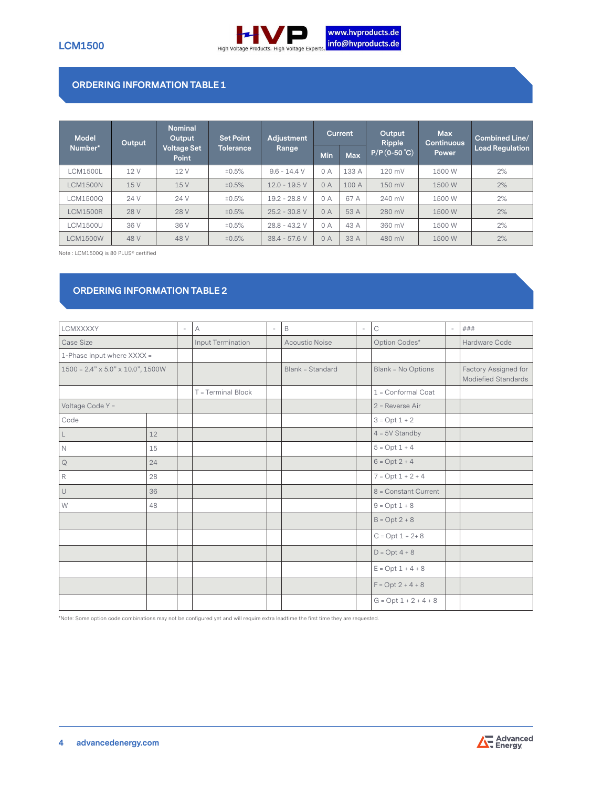

## **ORDERING INFORMATION TABLE 1**

| <b>Model</b>    | Output | <b>Nominal</b><br>Output           | <b>Set Point</b> | <b>Adiustment</b> | <b>Current</b> |            | Output<br><b>Ripple</b> | <b>Max</b><br><b>Continuous</b> | <b>Combined Line/</b>  |  |
|-----------------|--------|------------------------------------|------------------|-------------------|----------------|------------|-------------------------|---------------------------------|------------------------|--|
| Number*         |        | <b>Voltage Set</b><br><b>Point</b> | Tolerance,       | Range             | Min            | <b>Max</b> | $P/P$ (0-50 °C)         | Power                           | <b>Load Regulation</b> |  |
| <b>CM1500L</b>  | 12 V   | 12 V                               | ±0.5%            | $9.6 - 14.4$ V    | 0A             | 133 A      | 120 mV                  | 1500 W                          | 2%                     |  |
| <b>LCM1500N</b> | 15 V   | 15 V                               | ±0.5%            | $12.0 - 19.5$ V   | 0A             | 100 A      | 150 mV                  | 1500 W                          | 2%                     |  |
| LCM1500Q        | 24 V   | 24 V                               | ±0.5%            | 19.2 - 28.8 V     | 0A             | 67 A       | 240 mV                  | 1500 W                          | 2%                     |  |
| <b>LCM1500R</b> | 28 V   | 28 V                               | ±0.5%            | $25.2 - 30.8$ V   | 0A             | 53 A       | 280 mV                  | 1500 W                          | 2%                     |  |
| <b>LCM1500U</b> | 36 V   | 36 V                               | ±0.5%            | $28.8 - 43.2$ V   | 0 A            | 43 A       | 360 mV                  | 1500 W                          | 2%                     |  |
| <b>LCM1500W</b> | 48 V   | 48 V                               | ±0.5%            | $38.4 - 57.6 V$   | 0A             | 33 A       | 480 mV                  | 1500 W                          | 2%                     |  |

Note : LCM1500Q is 80 PLUS® certified

# **ORDERING INFORMATION TABLE 2**

| LCMXXXXY                                      |                            | $\overline{\phantom{a}}$ | А                  | $\overline{a}$ | B                     | $\overline{\phantom{a}}$ | $\mathop{\rm C}\nolimits$ | $\overline{\phantom{a}}$ | ###                                         |
|-----------------------------------------------|----------------------------|--------------------------|--------------------|----------------|-----------------------|--------------------------|---------------------------|--------------------------|---------------------------------------------|
| Case Size                                     |                            |                          | Input Termination  |                | <b>Acoustic Noise</b> |                          | Option Codes*             |                          | Hardware Code                               |
|                                               | 1-Phase input where XXXX = |                          |                    |                |                       |                          |                           |                          |                                             |
| $1500 = 2.4" \times 5.0" \times 10.0", 1500W$ |                            |                          |                    |                | Blank = Standard      |                          | Blank = No Options        |                          | Factory Assigned for<br>Modiefied Standards |
|                                               |                            |                          | T = Terminal Block |                |                       |                          | 1 = Conformal Coat        |                          |                                             |
| Voltage Code Y =                              |                            |                          |                    |                |                       |                          | $2$ = Reverse Air         |                          |                                             |
| Code                                          |                            |                          |                    |                |                       |                          | $3 = Opt 1 + 2$           |                          |                                             |
| L                                             | 12                         |                          |                    |                |                       |                          | $4 = 5V$ Standby          |                          |                                             |
| $\mathbb N$                                   | 15                         |                          |                    |                |                       |                          | $5 = Opt 1 + 4$           |                          |                                             |
| $\mathsf{Q}$                                  | 24                         |                          |                    |                |                       |                          | $6 = Opt 2 + 4$           |                          |                                             |
| R                                             | 28                         |                          |                    |                |                       |                          | $7 = Opt 1 + 2 + 4$       |                          |                                             |
| U                                             | 36                         |                          |                    |                |                       |                          | 8 = Constant Current      |                          |                                             |
| W                                             | 48                         |                          |                    |                |                       |                          | $9 = Opt 1 + 8$           |                          |                                             |
|                                               |                            |                          |                    |                |                       |                          | $B = Opt 2 + 8$           |                          |                                             |
|                                               |                            |                          |                    |                |                       |                          | $C = Opt 1 + 2 + 8$       |                          |                                             |
|                                               |                            |                          |                    |                |                       |                          | $D = Opt 4 + 8$           |                          |                                             |
|                                               |                            |                          |                    |                |                       |                          | $E = Opt 1 + 4 + 8$       |                          |                                             |
|                                               |                            |                          |                    |                |                       |                          | $F = Opt 2 + 4 + 8$       |                          |                                             |
|                                               |                            |                          |                    |                |                       |                          | $G = Opt 1 + 2 + 4 + 8$   |                          |                                             |

\*Note: Some option code combinations may not be configured yet and will require extra leadtime the first time they are requested.

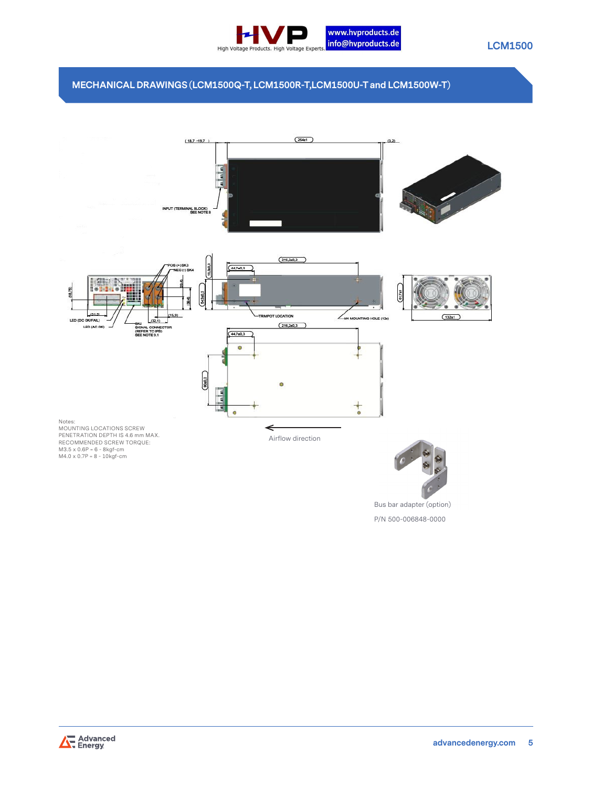

## **MECHANICAL DRAWINGS (LCM1500Q-T, LCM1500R-T,LCM1500U-T and LCM1500W-T)**



Bus bar adapter (option) P/N 500-006848-0000

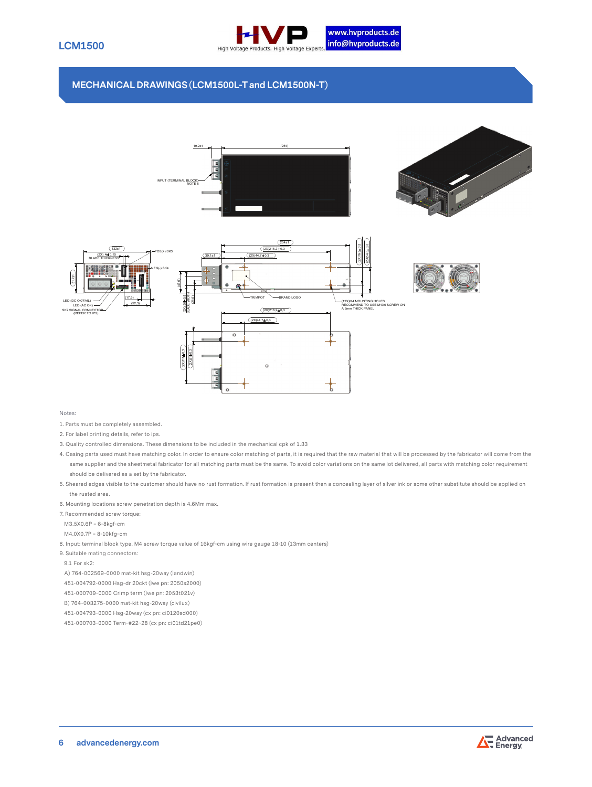

### **MECHANICAL DRAWINGS (LCM1500L-T and LCM1500N-T)**







Notes:

- 1. Parts must be completely assembled.
- 2. For label printing details, refer to ips.
- 3. Quality controlled dimensions. These dimensions to be included in the mechanical cpk of 1.33
- 4. Casing parts used must have matching color. In order to ensure color matching of parts, it is required that the raw material that will be processed by the fabricator will come from the same supplier and the sheetmetal fabricator for all matching parts must be the same. To avoid color variations on the same lot delivered, all parts with matching color requirement should be delivered as a set by the fabricator.
- 5. Sheared edges visible to the customer should have no rust formation. If rust formation is present then a concealing layer of silver ink or some other substitute should be applied on the rusted area.
- 6. Mounting locations screw penetration depth is 4.6Mm max.
- 7. Recommended screw torque:
- M3.5X0.6P = 6-8kgf-cm
- M4.0X0.7P = 8-10kfg-cm
- 8. Input: terminal block type. M4 screw torque value of 16kgf-cm using wire gauge 18-10 (13mm centers)
- 9. Suitable mating connectors:
- 9.1 For sk2:

A) 764-002569-0000 mat-kit hsg-20way (landwin)

- 451-004792-0000 Hsg-dr 20ckt (lwe pn: 2050s2000)
- 451-000709-0000 Crimp term (lwe pn: 2053t021v)
- B) 764-003275-0000 mat-kit hsg-20way (civilux)
- 451-004793-0000 Hsg-20way (cx pn: ci0120sd000)
- 451-000703-0000 Term-#22~28 (cx pn: ci01td21pe0)

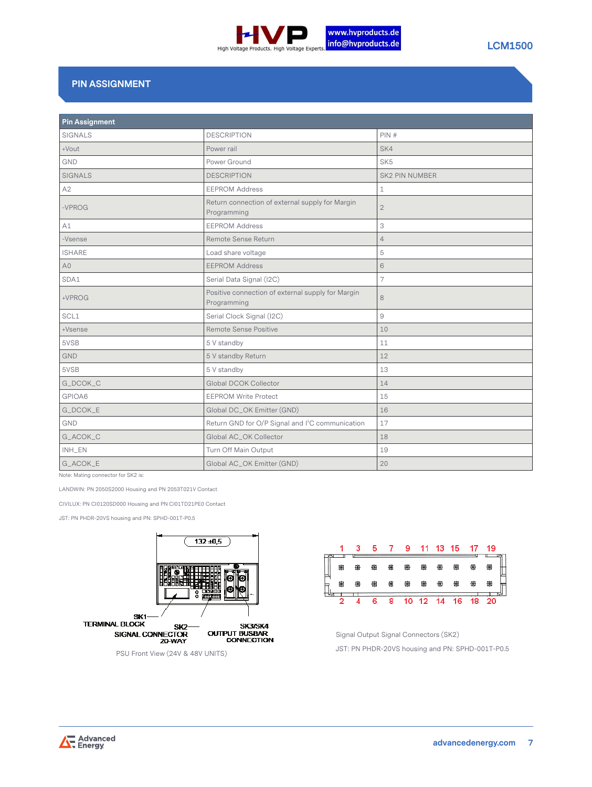

# **PIN ASSIGNMENT**

| <b>Pin Assignment</b> |                                                                  |                 |  |  |  |  |  |
|-----------------------|------------------------------------------------------------------|-----------------|--|--|--|--|--|
| <b>SIGNALS</b>        | <b>DESCRIPTION</b>                                               | PIN#            |  |  |  |  |  |
| +Vout                 | Power rail                                                       | SK4             |  |  |  |  |  |
| GND                   | Power Ground                                                     | SK <sub>5</sub> |  |  |  |  |  |
| <b>SIGNALS</b>        | <b>DESCRIPTION</b>                                               | SK2 PIN NUMBER  |  |  |  |  |  |
| A2                    | <b>EEPROM Address</b>                                            | 1               |  |  |  |  |  |
| $-VPROG$              | Return connection of external supply for Margin<br>Programming   | $\overline{2}$  |  |  |  |  |  |
| A1                    | <b>EEPROM Address</b>                                            | 3               |  |  |  |  |  |
| -Vsense               | Remote Sense Return                                              | $\overline{4}$  |  |  |  |  |  |
| <b>ISHARE</b>         | Load share voltage                                               | 5               |  |  |  |  |  |
| A <sub>0</sub>        | <b>EEPROM Address</b>                                            | 6               |  |  |  |  |  |
| SDA1                  | Serial Data Signal (I2C)                                         | 7               |  |  |  |  |  |
| +VPROG                | Positive connection of external supply for Margin<br>Programming | 8               |  |  |  |  |  |
| SCL1                  | Serial Clock Signal (I2C)                                        | 9               |  |  |  |  |  |
| +Vsense               | Remote Sense Positive                                            | 10              |  |  |  |  |  |
| 5VSB                  | 5 V standby                                                      | 11              |  |  |  |  |  |
| <b>GND</b>            | 5 V standby Return                                               | 12              |  |  |  |  |  |
| 5VSB                  | 5 V standby                                                      | 13              |  |  |  |  |  |
| G_DCOK_C              | Global DCOK Collector                                            | 14              |  |  |  |  |  |
| GPIOA6                | <b>EEPROM Write Protect</b>                                      | 15              |  |  |  |  |  |
| G_DCOK_E              | Global DC_OK Emitter (GND)                                       | 16              |  |  |  |  |  |
| <b>GND</b>            | Return GND for O/P Signal and I <sup>2</sup> C communication     | 17              |  |  |  |  |  |
| G_ACOK_C              | Global AC_OK Collector                                           | 18              |  |  |  |  |  |
| INH_EN                | Turn Off Main Output                                             | 19              |  |  |  |  |  |
| G_ACOK_E              | Global AC_OK Emitter (GND)                                       | 20              |  |  |  |  |  |

Note: Mating connector for SK2 is:

LANDWIN: PN 2050S2000 Housing and PN 2053T021V Contact

CIVILUX: PN CI0120SD000 Housing and PN CI01TD21PE0 Contact

JST: PN PHDR-20VS housing and PN: SPHD-001T-P0.5



PSU Front View (24V & 48V UNITS)



Signal Output Signal Connectors (SK2) JST: PN PHDR-20VS housing and PN: SPHD-001T-P0.5

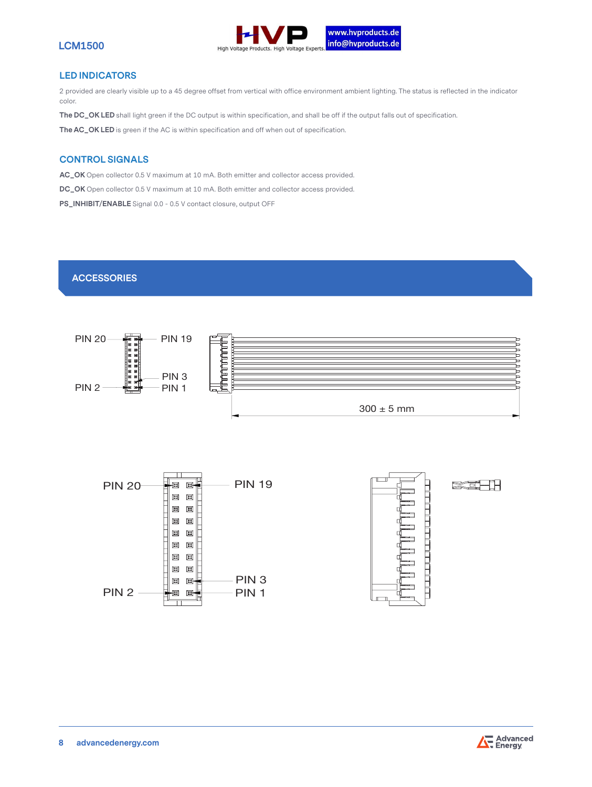

#### **LED INDICATORS**

2 provided are clearly visible up to a 45 degree offset from vertical with office environment ambient lighting. The status is reflected in the indicator color.

**The DC\_OK LED** shall light green if the DC output is within specification, and shall be off if the output falls out of specification.

**The AC\_OK LED** is green if the AC is within specification and off when out of specification.

#### **CONTROL SIGNALS**

**AC\_OK** Open collector 0.5 V maximum at 10 mA. Both emitter and collector access provided.

**DC\_OK** Open collector 0.5 V maximum at 10 mA. Both emitter and collector access provided.

**PS\_INHIBIT/ENABLE** Signal 0.0 - 0.5 V contact closure, output OFF

## **ACCESSORIES**





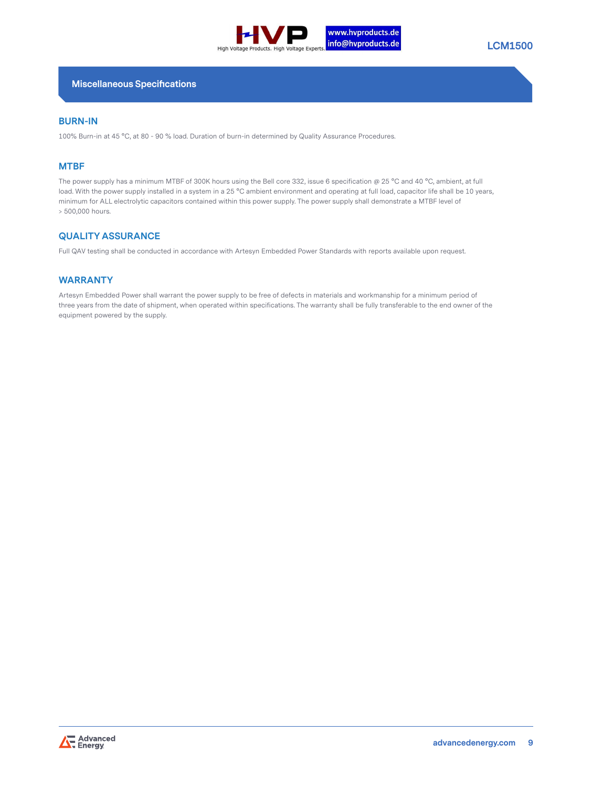

#### **Miscellaneous Specifications**

#### **BURN-IN**

100% Burn-in at 45 °C, at 80 - 90 % load. Duration of burn-in determined by Quality Assurance Procedures.

#### **MTBF**

The power supply has a minimum MTBF of 300K hours using the Bell core 332, issue 6 specification @ 25 °C and 40 °C, ambient, at full load. With the power supply installed in a system in a 25 °C ambient environment and operating at full load, capacitor life shall be 10 years, minimum for ALL electrolytic capacitors contained within this power supply. The power supply shall demonstrate a MTBF level of > 500,000 hours.

#### **QUALITY ASSURANCE**

Full QAV testing shall be conducted in accordance with Artesyn Embedded Power Standards with reports available upon request.

#### **WARRANTY**

Artesyn Embedded Power shall warrant the power supply to be free of defects in materials and workmanship for a minimum period of three years from the date of shipment, when operated within specifications. The warranty shall be fully transferable to the end owner of the equipment powered by the supply.